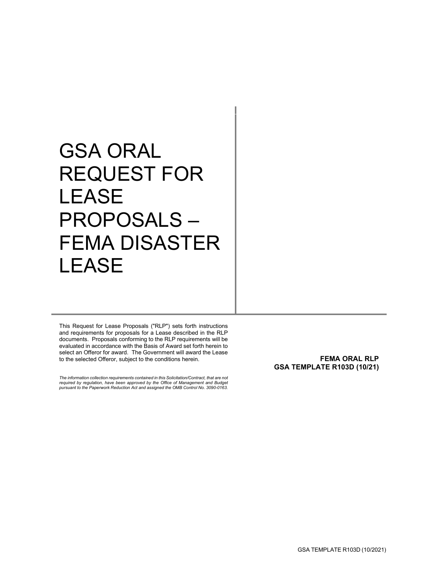# GSA ORAL REQUEST FOR **LEASE** PROPOSALS – FEMA DISASTER LEASE

This Request for Lease Proposals ("RLP") sets forth instructions and requirements for proposals for a Lease described in the RLP documents. Proposals conforming to the RLP requirements will be evaluated in accordance with the Basis of Award set forth herein to select an Offeror for award. The Government will award the Lease to the selected Offeror, subject to the conditions herein.

*The information collection requirements contained in this Solicitation/Contract, that are not required by regulation, have been approved by the Office of Management and Budget pursuant to the Paperwork Reduction Act and assigned the OMB Control No. 3090-0163.*

<span id="page-0-0"></span>**FEMA ORAL RLP GSA TEMPLATE R103D (10/21)**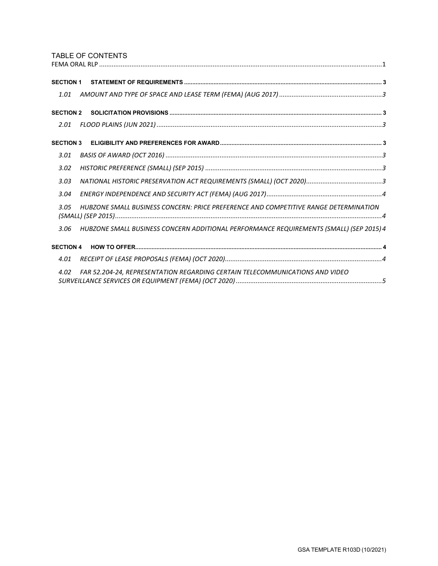# TABLE OF CONTENTS

| <b>SECTION 1</b>                                                                                |
|-------------------------------------------------------------------------------------------------|
| 1.01                                                                                            |
| <b>SECTION 2</b>                                                                                |
| 2.01                                                                                            |
| <b>SECTION 3</b>                                                                                |
| 3.01                                                                                            |
| 3.02                                                                                            |
| 3.03                                                                                            |
| 3.04                                                                                            |
| HUBZONE SMALL BUSINESS CONCERN: PRICE PREFERENCE AND COMPETITIVE RANGE DETERMINATION<br>3.05    |
| HUBZONE SMALL BUSINESS CONCERN ADDITIONAL PERFORMANCE REQUIREMENTS (SMALL) (SEP 2015) 4<br>3.06 |
| <b>SECTION 4</b>                                                                                |
| 4.01                                                                                            |
| FAR 52.204-24, REPRESENTATION REGARDING CERTAIN TELECOMMUNICATIONS AND VIDEO<br>4.02            |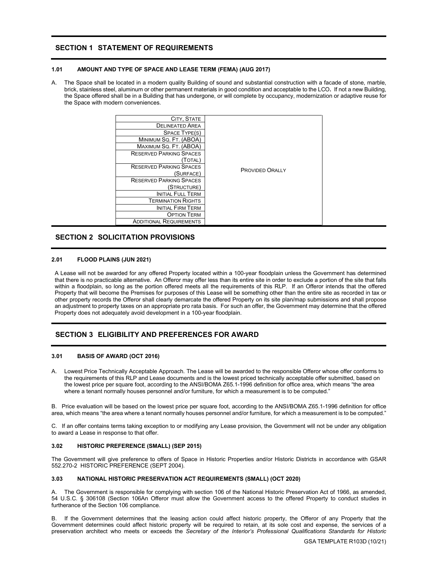# <span id="page-2-0"></span>**SECTION 1 STATEMENT OF REQUIREMENTS**

# <span id="page-2-1"></span>**1.01 AMOUNT AND TYPE OF SPACE AND LEASE TERM (FEMA) (AUG 2017)**

A. The Space shall be located in a modern quality Building of sound and substantial construction with a facade of stone, marble, brick, stainless steel, aluminum or other permanent materials in good condition and acceptable to the LCO**.** If not a new Building, the Space offered shall be in a Building that has undergone, or will complete by occupancy, modernization or adaptive reuse for the Space with modern conveniences.

| CITY, STATE                    |                        |
|--------------------------------|------------------------|
| <b>DELINEATED AREA</b>         |                        |
| SPACE TYPE(S)                  |                        |
| MINIMUM SQ. FT. (ABOA)         | <b>PROVIDED ORALLY</b> |
| MAXIMUM SQ. FT. (ABOA)         |                        |
| <b>RESERVED PARKING SPACES</b> |                        |
| (Total)                        |                        |
| <b>RESERVED PARKING SPACES</b> |                        |
| (SURFACE)                      |                        |
| <b>RESERVED PARKING SPACES</b> |                        |
| (Structure)                    |                        |
| <b>INITIAL FULL TERM</b>       |                        |
| <b>TERMINATION RIGHTS</b>      |                        |
| <b>INITIAL FIRM TERM</b>       |                        |
| <b>OPTION TERM</b>             |                        |
| <b>ADDITIONAL REQUIREMENTS</b> |                        |

# <span id="page-2-2"></span>**SECTION 2 SOLICITATION PROVISIONS**

## <span id="page-2-3"></span>**2.01 FLOOD PLAINS (JUN 2021)**

A Lease will not be awarded for any offered Property located within a 100-year floodplain unless the Government has determined that there is no practicable alternative. An Offeror may offer less than its entire site in order to exclude a portion of the site that falls within a floodplain, so long as the portion offered meets all the requirements of this RLP. If an Offeror intends that the offered Property that will become the Premises for purposes of this Lease will be something other than the entire site as recorded in tax or other property records the Offeror shall clearly demarcate the offered Property on its site plan/map submissions and shall propose an adjustment to property taxes on an appropriate pro rata basis. For such an offer, the Government may determine that the offered Property does not adequately avoid development in a 100-year floodplain.

# <span id="page-2-4"></span>**SECTION 3 ELIGIBILITY AND PREFERENCES FOR AWARD**

#### <span id="page-2-5"></span>**3.01 BASIS OF AWARD (OCT 2016)**

A. Lowest Price Technically Acceptable Approach. The Lease will be awarded to the responsible Offeror whose offer conforms to the requirements of this RLP and Lease documents and is the lowest priced technically acceptable offer submitted, based on the lowest price per square foot, according to the ANSI/BOMA Z65.1-1996 definition for office area, which means "the area where a tenant normally houses personnel and/or furniture, for which a measurement is to be computed."

B. Price evaluation will be based on the lowest price per square foot, according to the ANSI/BOMA Z65.1-1996 definition for office area, which means "the area where a tenant normally houses personnel and/or furniture, for which a measurement is to be computed."

C. If an offer contains terms taking exception to or modifying any Lease provision, the Government will not be under any obligation to award a Lease in response to that offer.

#### <span id="page-2-6"></span>**3.02 HISTORIC PREFERENCE (SMALL) (SEP 2015)**

The Government will give preference to offers of Space in Historic Properties and/or Historic Districts in accordance with GSAR 552.270-2 HISTORIC PREFERENCE (SEPT 2004).

## <span id="page-2-7"></span>**3.03 NATIONAL HISTORIC PRESERVATION ACT REQUIREMENTS (SMALL) (OCT 2020)**

The Government is responsible for complying with section 106 of the National Historic Preservation Act of 1966, as amended, 54 U.S.C. § 306108 (Section 106An Offeror must allow the Government access to the offered Property to conduct studies in furtherance of the Section 106 compliance.

B. If the Government determines that the leasing action could affect historic property, the Offeror of any Property that the Government determines could affect historic property will be required to retain, at its sole cost and expense, the services of a preservation architect who meets or exceeds the *Secretary of the Interior's Professional Qualifications Standards for Historic*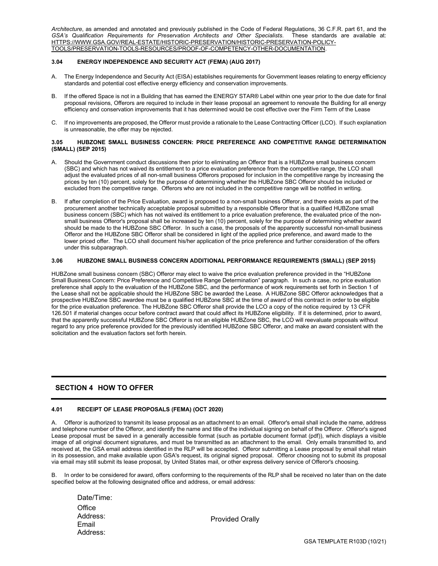*Architecture*, as amended and annotated and previously published in the Code of Federal Regulations, 36 C.F.R. part 61, and the *GSA's Qualification Requirements for Preservation Architects and Other Specialists*. These standards are available at: HTTPS://WWW.GSA.GOV/REAL-ESTATE/HISTORIC-PRESERVATION/HISTORIC-PRESERVATION-POLICY-TOOLS/PRESERVATION-TOOLS-RESOURCES/PROOF-OF-COMPETENCY-OTHER-DOCUMENTATION.

## <span id="page-3-0"></span>**3.04 ENERGY INDEPENDENCE AND SECURITY ACT (FEMA) (AUG 2017)**

- A. The Energy Independence and Security Act (EISA) establishes requirements for Government leases relating to energy efficiency standards and potential cost effective energy efficiency and conservation improvements.
- B. If the offered Space is not in a Building that has earned the ENERGY STAR® Label within one year prior to the due date for final proposal revisions, Offerors are required to include in their lease proposal an agreement to renovate the Building for all energy efficiency and conservation improvements that it has determined would be cost effective over the Firm Term of the Lease
- C. If no improvements are proposed, the Offeror must provide a rationale to the Lease Contracting Officer (LCO). If such explanation is unreasonable, the offer may be rejected.

## <span id="page-3-1"></span>**3.05 HUBZONE SMALL BUSINESS CONCERN: PRICE PREFERENCE AND COMPETITIVE RANGE DETERMINATION (SMALL) (SEP 2015)**

- A. Should the Government conduct discussions then prior to eliminating an Offeror that is a HUBZone small business concern (SBC) and which has not waived its entitlement to a price evaluation preference from the competitive range, the LCO shall adjust the evaluated prices of all non-small business Offerors proposed for inclusion in the competitive range by increasing the prices by ten (10) percent, solely for the purpose of determining whether the HUBZone SBC Offeror should be included or excluded from the competitive range. Offerors who are not included in the competitive range will be notified in writing.
- B. If after completion of the Price Evaluation, award is proposed to a non-small business Offeror, and there exists as part of the procurement another technically acceptable proposal submitted by a responsible Offeror that is a qualified HUBZone small business concern (SBC) which has not waived its entitlement to a price evaluation preference, the evaluated price of the nonsmall business Offeror's proposal shall be increased by ten (10) percent, solely for the purpose of determining whether award should be made to the HUBZone SBC Offeror. In such a case, the proposals of the apparently successful non-small business Offeror and the HUBZone SBC Offeror shall be considered in light of the applied price preference, and award made to the lower priced offer. The LCO shall document his/her application of the price preference and further consideration of the offers under this subparagraph.

# <span id="page-3-2"></span>**3.06 HUBZONE SMALL BUSINESS CONCERN ADDITIONAL PERFORMANCE REQUIREMENTS (SMALL) (SEP 2015)**

HUBZone small business concern (SBC) Offeror may elect to waive the price evaluation preference provided in the "HUBZone Small Business Concern: Price Preference and Competitive Range Determination" paragraph. In such a case, no price evaluation preference shall apply to the evaluation of the HUBZone SBC, and the performance of work requirements set forth in Section 1 of the Lease shall not be applicable should the HUBZone SBC be awarded the Lease. A HUBZone SBC Offeror acknowledges that a prospective HUBZone SBC awardee must be a qualified HUBZone SBC at the time of award of this contract in order to be eligible for the price evaluation preference. The HUBZone SBC Offeror shall provide the LCO a copy of the notice required by 13 CFR 126.501 if material changes occur before contract award that could affect its HUBZone eligibility. If it is determined, prior to award, that the apparently successful HUBZone SBC Offeror is not an eligible HUBZone SBC, the LCO will reevaluate proposals without regard to any price preference provided for the previously identified HUBZone SBC Offeror, and make an award consistent with the solicitation and the evaluation factors set forth herein.

# <span id="page-3-3"></span>**SECTION 4 HOW TO OFFER**

# <span id="page-3-4"></span>**4.01 RECEIPT OF LEASE PROPOSALS (FEMA) (OCT 2020)**

A. Offeror is authorized to transmit its lease proposal as an attachment to an email. Offeror's email shall include the name, address and telephone number of the Offeror, and identify the name and title of the individual signing on behalf of the Offeror. Offeror's signed Lease proposal must be saved in a generally accessible format (such as portable document format (pdf)), which displays a visible image of all original document signatures, and must be transmitted as an attachment to the email. Only emails transmitted to, and received at, the GSA email address identified in the RLP will be accepted. Offeror submitting a Lease proposal by email shall retain in its possession, and make available upon GSA's request, its original signed proposal. Offeror choosing not to submit its proposal via email may still submit its lease proposal, by United States mail, or other express delivery service of Offeror's choosing.

In order to be considered for award, offers conforming to the requirements of the RLP shall be received no later than on the date specified below at the following designated office and address, or email address:

| Date/Time: |
|------------|
| Office     |
| Address:   |
| Email      |
| Address:   |
|            |

Provided Orally